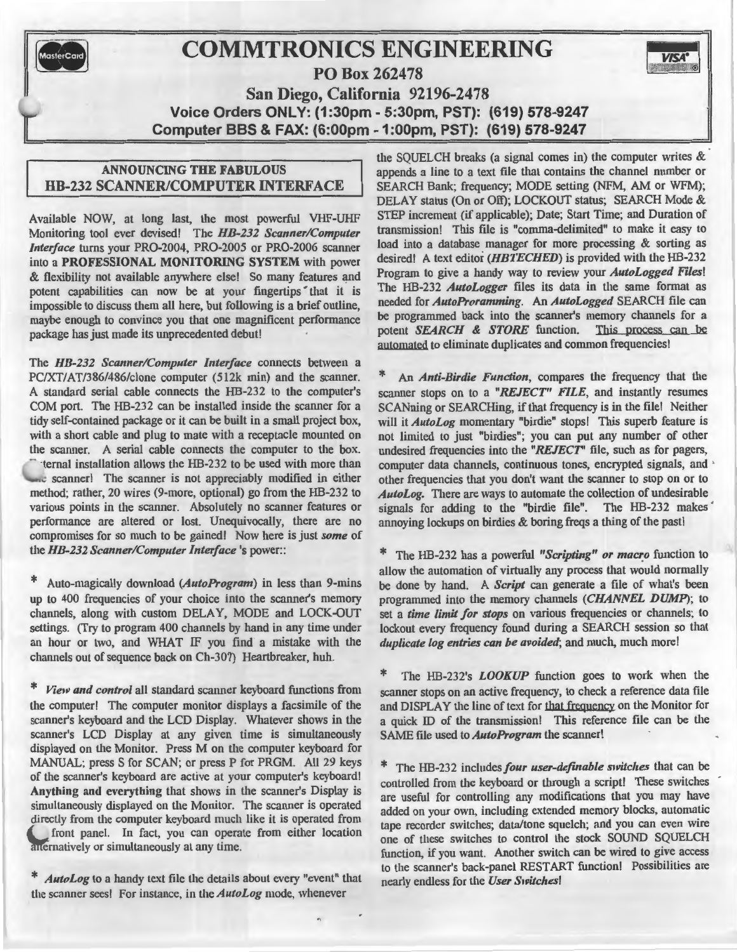| MasterCard | <b>COMMTRONICS ENGINEERING</b>                             |
|------------|------------------------------------------------------------|
|            | PO Box 262478                                              |
|            | San Diego, California 92196-2478                           |
|            | Voice Orders ONLY: (1:30pm - 5:30pm, PST): (619) 578-9247  |
|            | Computer BBS & FAX: (6:00pm - 1:00pm, PST): (619) 578-9247 |

# ANNOUNCING THE FABULOUS HB-232 SCANNER/COMPUTER INTERFACE

Available NOW, at long last, the most powerful VHF-UHF Monitoring tool ever devised! The *HB-232 Scanner/Computer Interface* turns your PR0-2004, PR0-2005 or PR0-2006 scanner into a PROFESSIONAL MONITORING SYSTEM with power & flexibility not available anywhere else! So many features and potent capabilities can now be at your fingertips that it is impossible to discuss them all here, but following is a brief outline, maybe enough to convince you that one magnificent performance package has just made its unprecedented debut!

The *HB-232 Scanner/Computer Interface* connects between a PCIXT/AT/386/486/clone computer (512k min) and the scanner. A standard serial cable connects the HB-232 to the computer's COM port. The HB-232 can be installed inside the scanner for a tidy self-contained package or it can be built in a small project box, with a short cable and plug to mate with a receptacle mounted on the scanner. A serial cable connects the computer to the box. ternal installation allows the HB-232 to be used with more than and scanner! The scanner is not appreciably modified in either method; rather, 20 wires (9-more, optional) go from the HB-232 to various points in the scanner. Absolutely no scanner features or performance are altered or lost. Unequivocally, there are no compromises for so much to be gained! Now here is just *some* of the *HB-232 Scanner/Computer Interface* 's power::

\* Auto-magically download *(AutoProgram)* in less than 9-mins up to 400 frequencies of your choice into the scanner's memory channels, along with custom DELAY, MODE and LOCK-OUT settings. (Try to program 400 channels by hand in any time under an hour or two, and WHAT IF you find a mistake with the channels out of sequence back on Ch-30?) Heartbreaker, huh.

\* *View aml control* all standard scanner keyboard functions from the computer! The computer monitor displays a facsimile of the scanner's keyboard and the LCD Display. Whatever shows in the scanner's LCD Display at any given time is simultaneously displayed on the Monitor. Press M on the computer keyboard for MANUAL; press S for SCAN; or press P for PRGM. All 29 keys of the scanner's keyboard are active at your computer's keyboard! Anything and everything that shows in the scanner's Display is simultaneously displayed on the Monitor. The scanner is operated direclly from the computer keyboard much like it is operated from front panel. In fact, you can operate from either location anernatively or simultaneously at any time.

\* *AutoLog* to a handy text file the details about every "event" that the scanner sees! For instance, in the *AutoLog* mode, whenever

the SQUELCH breaks (a signal comes in) the computer writes  $\&$ appends a line to a text file that contains the channel number or SEARCH Bank; frequency; MODE setting (NFM, AM or WFM); DELAY status (On or Off); LOCKOUT status; SEARCH Mode & STEP increment (if applicable); Date; Start Time; and Duration of transmission! This file is "comma-delimited" to make it easy to load into a database manager for more processing & sorting as desired! A text editor *(HBTECHED)* is provided with the HB-232 Program to give a handy way to review your *AutoLogged Files!*  The HB-232 *AutoLogger* files its data in the same format as needed for *AutoProramming.* An *AutoLogged* SEARCH file can be programmed back into the scanner's memory channels for a potent *SEARCH & STORE* function. This process can be potent *SEARCH & STORE* function. automated to eliminate duplicates and common frequencies!

VK.

An *Anti-Birdie Function*, compares the frequency that the scanner slops on to a *"REJECT" FILE,* and instantly resumes SCANning or SEARCHing, if that frequency is in the file! Neither will it *AutoLog* momentary "birdie" stops! This superb feature is not limited to just "birdies"; you can put any number of other undesired frequencies into the *"REJECT'* file, such as for pagers, computer data channels, continuous tones, encrypted signals, and other frequencies that you don't want the scanner to stop on or to *Auto Log.* There are ways to automate the collection of undesirable signals for adding to the "birdie file". The HB-232 makes annoying lockups on birdies & boring freqs a thing of the past!

\* The HB-232 has a powerful *"Scripting" or macr\_o* function to allow the automation of virtually any process that would normally be done by hand. A *Script* can generate a file of what's been programmed into the memory channels *(CHANNEL DUMP);* to set a *time limit for stops* on various frequencies or channels; to lockout every frequency found during a SEARCH session so that *duplicate log entries can be avoided;* and much, much more!

The HB-232's *LOOKUP* function goes to work when the scanner stops on an active frequency, to check a reference data file and DISPLAY the line of text for that frequency on the Monitor for a quick ID of the transmission! This reference file can be the SAME file used to *Auto Program* the scanner!

\* The HB-232 includes *four user-definable switches* that can be controlled from the keyboard or through a script! These switches are useful for controlling any modifications that you may have added on your own, including extended memory blocks, automatic tape recorder switches; data/tone squelch; and you can even wire one of these switches to control the stock SOUND SQUELCH function, if you want. Another switch can be wired to give access to the scanner's back-panel RESTART function! Possibilities are nearly endless for the *User Switches!*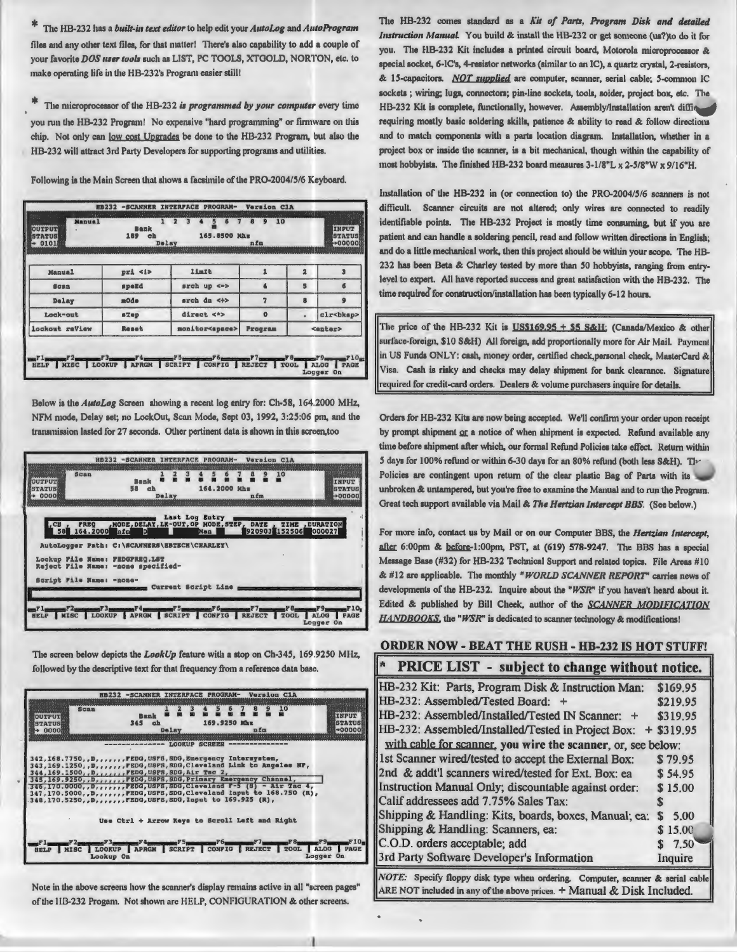\* The HB-232 has a built-in text editor to help edit your AutoLog and AutoProgram files and any other text files, for that matter! There's also capability to add a couple of your favorite DOS user tools such as LIST, PC TOOLS, XTGOLD, NORTON, etc. to make operating life in the HB-232's Program easier still!

The microprocessor of the HB-232 is programmed by your computer every time you run the HB-232 Program! No expensive "hard programming" or firmware on this chip. Not only can low cost Upgrades be done to the HB-232 Program, but also the HB-232 will attract 3rd Party Developers for supporting programs and utilities.

Following is the Main Screen that shows a facsimile of the PRO-2004/5/6 Keyboard.

| <b>Bank</b><br>$189$ ch |                         | nfm            |                 | INPUT<br><b>STATUS</b><br>$+00000$ |
|-------------------------|-------------------------|----------------|-----------------|------------------------------------|
| $pz\pm < 1>$            | limIt                   |                |                 |                                    |
| speEd                   | $s$ rch up $\leftarrow$ |                |                 |                                    |
| mode                    | srch dn <+>             |                | в               | $\mathbf{9}$                       |
| sTep                    | direct <*>              | $\Omega$       |                 | clr<br>bksp>                       |
| Reset                   | monitor <space></space> | <b>Program</b> | <enter></enter> |                                    |
|                         |                         | Delsy          | 165.8500 Mhs    |                                    |

Below is the AutoLog Screen showing a recent log entry for: Ch-58, 164.2000 MHz, NFM mode, Delay set; no LockOut, Scan Mode, Sept 03, 1992, 3:25:06 pm, and the transmission lasted for 27 seconds. Other pertinent data is shown in this screen, too



The screen below depicts the LookUp feature with a stop on Ch-345, 169.9250 MHz, followed by the descriptive text for that frequency from a reference data base.

| OUTPUT<br><b>STATUS:</b><br>• 0000§ | <b>Scan</b>                                                                                                                                                                                                                    | <b>Bank</b><br>$345$ ah                        | Delay | 169.9250 Mhz         | $n$ fm | 10 | INPUT<br><b>STATUS</b><br>$-00000$                                         |
|-------------------------------------|--------------------------------------------------------------------------------------------------------------------------------------------------------------------------------------------------------------------------------|------------------------------------------------|-------|----------------------|--------|----|----------------------------------------------------------------------------|
|                                     |                                                                                                                                                                                                                                |                                                |       | <b>LOOKUP SCREEK</b> |        |    |                                                                            |
|                                     |                                                                                                                                                                                                                                |                                                |       |                      |        |    |                                                                            |
|                                     | 342, 168.7750, D, , , , , , FEDG, USFS, SDG, Emergency Intersystem,                                                                                                                                                            |                                                |       |                      |        |    |                                                                            |
|                                     | 343, 169.1250, , D. , , FEDG, USFS, SDG, Cleveland Link to Angeles MF.                                                                                                                                                         |                                                |       |                      |        |    |                                                                            |
|                                     | 344, 169.1500, D., , , , , , FEDG, USFS, 8DG, Air Tac 2,                                                                                                                                                                       |                                                |       |                      |        |    |                                                                            |
|                                     | 345, 169.9250, , D, , , , , , , FEDG, USFS, SDG, Primary Emergency Channel,                                                                                                                                                    |                                                |       |                      |        |    |                                                                            |
|                                     | $.346, 170, 0000, 0.0101, 0.0000, 0.0000, 0.0000, 0.0000, 0.0000, 0.0000, 0.0000, 0.0000, 0.0000, 0.0000, 0.0000, 0.0000, 0.0000, 0.0000, 0.0000, 0.0000, 0.0000, 0.0000, 0.0000, 0.0000, 0.0000, 0.0000, 0.0000, 0.0000, 0.0$ |                                                |       |                      |        |    |                                                                            |
|                                     | 347, 170.5000, , D., , , , , , , FEDG, USFS, SDG, Cleveland Input to 168.750 (R),<br>348, 170.5250, D, , , , , , FEDG, USFS, SDG, Input to 169.925 (R),                                                                        |                                                |       |                      |        |    |                                                                            |
|                                     |                                                                                                                                                                                                                                |                                                |       |                      |        |    |                                                                            |
|                                     |                                                                                                                                                                                                                                |                                                |       |                      |        |    |                                                                            |
|                                     |                                                                                                                                                                                                                                | Use Ctrl + Arrow Keys to Scroll Left and Right |       |                      |        |    |                                                                            |
|                                     |                                                                                                                                                                                                                                |                                                |       |                      |        |    |                                                                            |
|                                     |                                                                                                                                                                                                                                |                                                |       |                      |        | F9 | $-F10$                                                                     |
|                                     | $F$ 2 and $F$ 3 and $F$ 4 and $F$ 5 and $F$ 5 $F$ 6 $F$ 6 $F$ 7 $F$ 7 $F$                                                                                                                                                      |                                                |       |                      |        |    | HELP NISC   LOOKUP   APRGM   SCRIPT   CONFIG   REJECT   TOOL   ALOG   PAGE |
|                                     |                                                                                                                                                                                                                                |                                                |       |                      |        |    |                                                                            |

Note in the above screens how the scanner's display remains active in all "screen pages' of the IIB-232 Progam. Not shown are HELP, CONFIGURATION & other screens.

The HB-232 comes standard as a Kit of Parts, Program Disk and detailed Instruction Manual. You build & install the HB-232 or get someone (us?)to do it for you. The HB-232 Kit includes a printed circuit board, Motorola microprocessor & special socket, 6-IC's, 4-resistor networks (similar to an IC), a quartz crystal. 2-resistors. & 15-capacitors. NOT supplied are computer, scanner, serial cable; 5-common IC sockets ; wiring; lugs, connectors; pin-line sockets, tools, solder, project box, etc. The HB-232 Kit is complete, functionally, however. Assembly/Installation aren't difficult requiring mostly basic soldering skills, patience & ability to read & follow directions and to match components with a parts location diagram. Installation, whether in a project box or inside the scanner, is a bit mechanical, though within the capability of most hobbyists. The finished HB-232 board measures 3-1/8"L x 2-5/8"W x 9/16"H.

Installation of the HB-232 in (or connection to) the PRO-2004/5/6 scanners is not difficult. Scanner circuits are not altered; only wires are connected to readily identifiable points. The HB-232 Project is mostly time consuming, but if you are patient and can handle a soldering pencil, read and follow written directions in English; and do a little mechanical work, then this project should be within your scope. The HB-232 has been Beta & Charley tested by more than 50 hobbyists, ranging from entrylevel to expert. All have reported success and great satisfaction with the HB-232. The time required for construction/installation has been typically 6-12 hours.

The price of the HB-232 Kit is US\$169.95 + \$5 S&H: (Canada/Mexico & other surface-foreign, \$10 S&H) All foreign, add proportionally more for Air Mail. Payment in US Funds ONLY: cash, money order, certified check, personal check, MasterCard & Visa. Cash is risky and checks may delay shipment for bank clearance. Signature required for credit-card orders. Dealers & volume purchasers inquire for details.

Orders for HB-232 Kits are now being accepted. We'll confirm your order upon receipt by prompt shipment or a notice of when shipment is expected. Refund available any time before shipment after which, our formal Refund Policies take effect. Return within 5 days for 100% refund or within 6-30 days for an 80% refund (both less S&H). The Policies are contingent upon return of the clear plastic Bag of Parts with its unbroken & untampered, but you're free to examine the Manual and to run the Program. Great tech support available via Mail & The Hertzian Intercept BBS. (See below.)

For more info, contact us by Mail or on our Computer BBS, the Hertzian Intercept, after 6:00pm & before-1:00pm, PST, at (619) 578-9247. The BBS has a special Message Base (#32) for HB-232 Technical Support and related topics. File Areas #10 & #12 are applicable. The monthly "WORLD SCANNER REPORT" carries news of developments of the HB-232. Inquire about the "WSR" if you haven't heard about it. Edited & published by Bill Cheek, author of the SCANNER MODIFICATION HANDBOOKS, the "WSR" is dedicated to scanner technology & modifications!

### **ORDER NOW - BEAT THE RUSH - HB-232 IS HOT STUFF!**

| <b>PRICE LIST - subject to change without notice.</b>        |          |
|--------------------------------------------------------------|----------|
| HB-232 Kit: Parts, Program Disk & Instruction Man:           | \$169.95 |
| HB-232: Assembled/Tested Board: +                            | \$219.95 |
| HB-232: Assembled/Installed/Tested IN Scanner: +             | \$319.95 |
| HB-232: Assembled/Installed/Tested in Project Box:           | \$319.95 |
| with cable for scanner, you wire the scanner, or, see below: |          |
| 1st Scanner wired/tested to accept the External Box:         | \$79.95  |
| 2nd & addt'l scanners wired/tested for Ext. Box: ea          | \$54.95  |
| Instruction Manual Only; discountable against order:         | \$15.00  |
| Calif addressees add 7.75% Sales Tax:                        |          |
| Shipping & Handling: Kits, boards, boxes, Manual; ea:        | 5.00     |
| Shipping & Handling: Scanners, ea:                           | \$15.00  |
| C.O.D. orders acceptable; add                                | 7.50     |
| 3rd Party Software Developer's Information                   | Inquire  |

NOTE: Specify floppy disk type when ordering. Computer, scanner & serial cable ARE NOT included in any of the above prices. + Manual & Disk Included.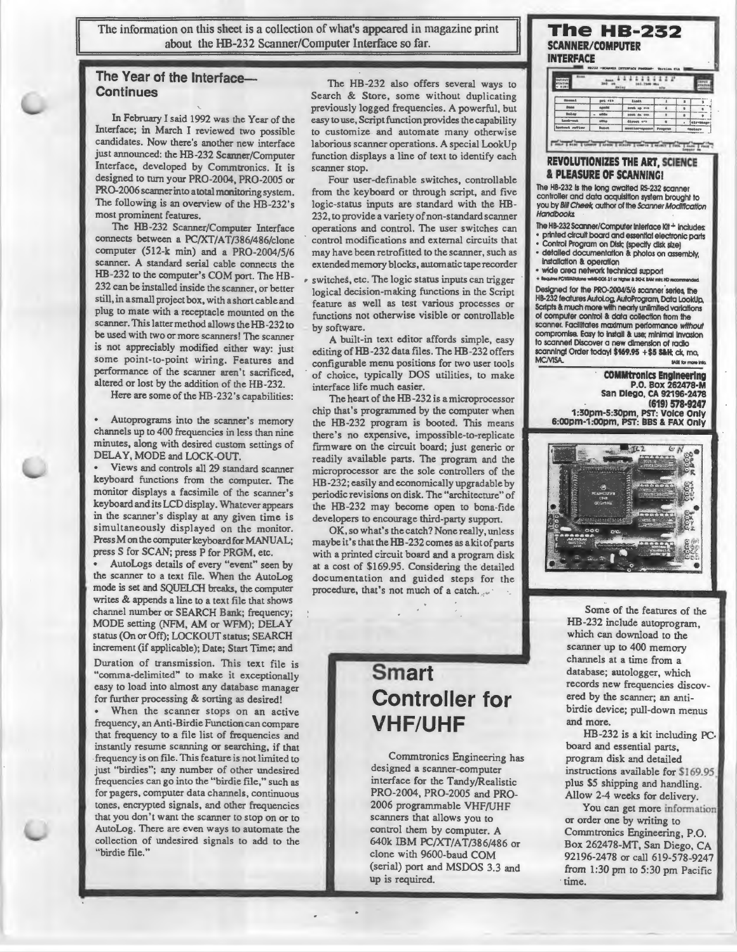The information on this sheet is a collection of what's appeared in magazine print about the HB-232 Scanner/Computer Interface so far.

## **The Year of the Interface-Continues**

In February I said 1992 was the Year of the Interface; in March I reviewed two possible candidates. Now there's another new interface just announced: the HB-232 Scanner/Computer Interface, developed by Commtronics. It is designed to turn your PR0-2004, PR0-2005 or PRO-2006 scanner into a total monitoring system. The following is an overview of the HB-232's most prominent features.

The HB-232 Scanner/Computer Interface connects between a PC/XT/AT/386/486/clone computer (512-k min) and a PR0-2004/5/6 scanner. A standard serial cable connects the HB-232 to the computer's COM port. The HB-232 can be installed inside the scanner, or better still, in a small project box, with a short cable and plug to mate with a receptacle mounted on the scanner. This latter method allows the HB-232 to be used with two or more scanners! The scanner is not appreciably modified either way: just some point-to-point wiring. Features and performance of the scanner aren't sacrificed, altered or lost by the addition of the HB-232.

Here are some of the HB-232's capabilities:

Autoprograms into the scanner's memory channels up to 400 frequencies in less than nine minutes, along with desired custom settings of DELAY, MODE and LOCK-OUT.

Views and controls all 29 standard scanner keyboard functions from the computer. The monitor displays a facsimile of the scanner's keyboard and its LCD display. Whatever appears in the scanner's display at any given time is simultaneously displayed on the monitor. Press Mon the computer keyboard for MANUAL; press S for SCAN; press P for PROM, etc.

AutoLogs details of every "event" seen by the scanner to a text file. When the AutoLog mode is set and SQUELCH breaks, the computer writes & appends a line to a text file that shows channel number or SEARCH Bank; frequency; MODE setting (NFM, AM or WFM); DELAY status (On or Off); LOCKOUT status; SEARCH increment (if applicable); Date; Start Time; and

Duration of transmission. This text file is "comma-delimited" to make it exceptionally easy to load into almost any database manager for further processing & sorting as desired!

When the scanner stops on an active frequency, an Anti-Birdie Function can compare that frequency to a file list of frequencies and instantly resume scanning or searching, if that frequency is on file. This feature is not limited to just "birdies"; any number of other undesired frequencies can go into the "birdie file," such as for pagers, computer data channels, continuous tones, encrypted signals, and other frequencies that you don't want the scanner to stop on or to AutoLog. There are even ways to automate the collection of undesired signals to add to the "birdie file."

The HB-232 also offers several ways to Search & Store, some without duplicating previously logged frequencies. A powerful, but easy to use, Script function provides the capability to customize and automate many otherwise laborious scanner operations. A special Look Up function displays a line of text to identify each scanner stop.

Four user-definable switches, controllable from the keyboard or through script, and five logic-status inputs are standard with the HB-232, to provide a variety of non-standard scanner operations and control. The user switches can control modifications and external circuits that may have been retrofitted to the scanner, such as extended memory blocks, automatic tape recorder

switches, etc. The logic status inputs can trigger logical decision-making functions in the Script feature as well as test various processes or functions not otherwise visible or controllable by software.

A built-in text editor affords simple, easy editing of HB-232 data files. The HB-232 offers configurable menu positions for two user tools of choice, typically DOS utilities, to make interface life much easier.

The heart of the HB-232 is a microprocessor chip that's programmed by the computer when the HB-232 program is booted. This means there's no expensive, impossible-to-replicate firmware on the circuit board; just generic or readily available parts. The program and the microprocessor are the sole controllers of the HB-232; easily and economically upgradable by periodic revisions on disk. The "architecture" of the HB-232 may become open to bona-fide developers to encourage third-party support.

OK, so what's thecatch?None really, unless maybe it's that the HB-232 comes as a kit of parts with a printed circuit board and a program disk at a cost of \$169.95. Considering the detailed documentation and guided steps for the procedure, that's not much of a catch.

# **Smart Controller for VHF/UHF**

Commtronics Engineering has designed a scanner-computer interface for the Tandy/Realistic PR0-2004, PR0-2005 and PR0- 2006 programmable VHF/UHF scanners that allows you to control them by computer. A 640k IBM PC/Xf/AT/386/486 or clone with 9600-baud COM (serial) port and MSDOS 3.3 and up is required.

### **The HB-232 SCANNER/COMPUTER INTERFACE**

| <b>Black</b> |           |                 |  |  |  |  |  |
|--------------|-----------|-----------------|--|--|--|--|--|
| <b>Romal</b> | pag. 41b. | <b>Ziolt</b>    |  |  |  |  |  |
| نمنت         |           | people ago away |  |  |  |  |  |
| <b>Solay</b> |           | pirath din 400- |  |  |  |  |  |
|              | 60 O.C    | dispert ave     |  |  |  |  |  |
| rent/Lease   |           |                 |  |  |  |  |  |

 $\label{eq:3.1} \boxed{\text{where the real number of different vertices, and the number of vertices, and the number of vertices, and the number of vertices, and the number of vertices, and the number of vertices, and the number of vertices, and the number of vertices, and the number of vertices, and the number of vertices, and the number of vertices, and the number of vertices, and the number of vertices, and the number of vertices, and the number of vertices, and the number of vertices, and the number of vertices, and the number of vertices, and the number of vertices, and the number of vertices, and the number of vertices, and the number of vertices, and the number of vertices, and the number of vertices, and the number of vertices, and the number of vertices, and the number of vertices, and the number of vertices, and the number of vertices, and the number of vertices, and the number of vertices, and the number of vertices, and the number of vertices, and the number of vertices,$ 

#### **REVOLUTIONIZES THE ART, SCIENCE**  & **PLEASURE OF SCANNING!**

The HB-232 Is the long owolted RS-232 scanner controller and data acquisition system brought to you by Bill Cheek, author of the *Scanner Modification* **Handbooks** 

- The HB-232 Scanner/Computer Interface Kit+ includes: • prtnted circuit board and essenttol electronic parts
- 
- Control Program on Disk; (specify disk size) detailed documentatton &. photos on assembly, installation & operation
- wide area network technical support + ~IO'XT/Atldone **.US.OOS11** or~ **l MU RAM"\*': MJ** ~

Designed for the PRO-2004/5/6 scanner series the HB-232 features Autolog, AutoProgram, Data LookUp, Scripts & much more with nearly unlimited variations of computer control & data collection from the scanner. Facilitates maximum performance without compromise. Easy to Install &. use; minimal Invasion to scannert Discover a new dimension of radio seaming! Order today! **\$169.95 + \$5 SI.It;** ck, mo, MCMSA. ...,.,.,,\_...,





Some of the features of the HB-232 include autoprogram, which can download to the scanner up to 400 memory channels at a time from a database; autologger, which records new frequencies discovered by the scanner; an antibirdie device; pull-down menus and more.

HB-232 is a kit including PC· board and essential parts, program disk and detailed instructions available for \$169.95 plus \$5 shipping and handling. Allow 2-4 weeks for delivery.

You can get more information or order one by writing to Commtronics Engineering, P.O. Box 262478-MT, San Diego, CA 92196-2478 or call 619-578-9247 from 1:30 pm to 5:30 pm Pacific time.